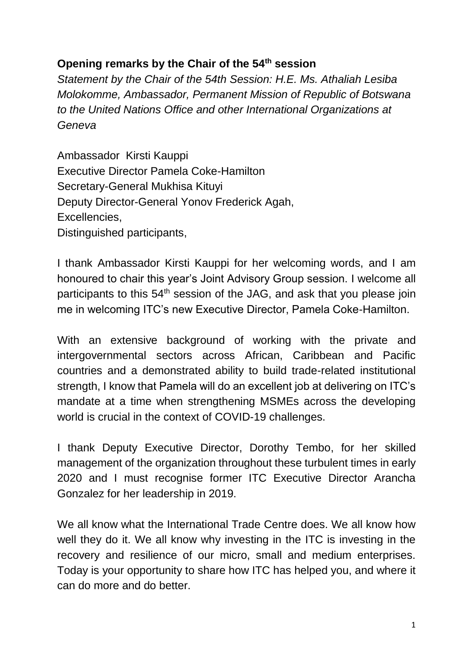## **Opening remarks by the Chair of the 54th session**

*Statement by the Chair of the 54th Session: H.E. Ms. Athaliah Lesiba Molokomme, Ambassador, Permanent Mission of Republic of Botswana to the United Nations Office and other International Organizations at Geneva*

Ambassador Kirsti Kauppi Executive Director Pamela Coke-Hamilton Secretary-General Mukhisa Kituyi Deputy Director-General Yonov Frederick Agah, Excellencies, Distinguished participants,

I thank Ambassador Kirsti Kauppi for her welcoming words, and I am honoured to chair this year's Joint Advisory Group session. I welcome all participants to this 54<sup>th</sup> session of the JAG, and ask that you please join me in welcoming ITC's new Executive Director, Pamela Coke-Hamilton.

With an extensive background of working with the private and intergovernmental sectors across African, Caribbean and Pacific countries and a demonstrated ability to build trade-related institutional strength, I know that Pamela will do an excellent job at delivering on ITC's mandate at a time when strengthening MSMEs across the developing world is crucial in the context of COVID-19 challenges.

I thank Deputy Executive Director, Dorothy Tembo, for her skilled management of the organization throughout these turbulent times in early 2020 and I must recognise former ITC Executive Director Arancha Gonzalez for her leadership in 2019.

We all know what the International Trade Centre does. We all know how well they do it. We all know why investing in the ITC is investing in the recovery and resilience of our micro, small and medium enterprises. Today is your opportunity to share how ITC has helped you, and where it can do more and do better.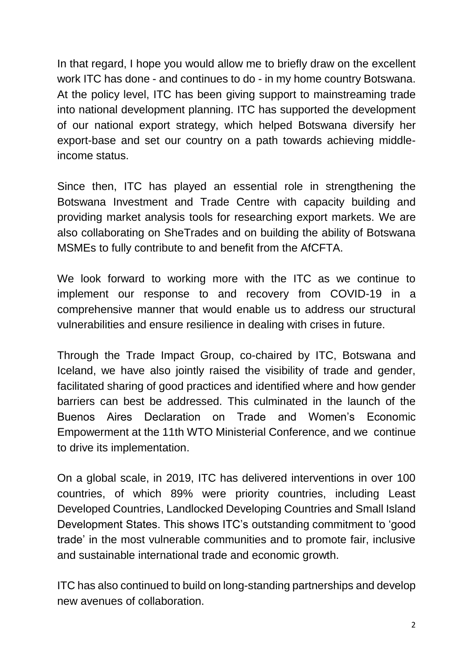In that regard, I hope you would allow me to briefly draw on the excellent work ITC has done - and continues to do - in my home country Botswana. At the policy level, ITC has been giving support to mainstreaming trade into national development planning. ITC has supported the development of our national export strategy, which helped Botswana diversify her export-base and set our country on a path towards achieving middleincome status.

Since then, ITC has played an essential role in strengthening the Botswana Investment and Trade Centre with capacity building and providing market analysis tools for researching export markets. We are also collaborating on SheTrades and on building the ability of Botswana MSMEs to fully contribute to and benefit from the AfCFTA.

We look forward to working more with the ITC as we continue to implement our response to and recovery from COVID-19 in a comprehensive manner that would enable us to address our structural vulnerabilities and ensure resilience in dealing with crises in future.

Through the Trade Impact Group, co-chaired by ITC, Botswana and Iceland, we have also jointly raised the visibility of trade and gender, facilitated sharing of good practices and identified where and how gender barriers can best be addressed. This culminated in the launch of the Buenos Aires Declaration on Trade and Women's Economic Empowerment at the 11th WTO Ministerial Conference, and we continue to drive its implementation.

On a global scale, in 2019, ITC has delivered interventions in over 100 countries, of which 89% were priority countries, including Least Developed Countries, Landlocked Developing Countries and Small Island Development States. This shows ITC's outstanding commitment to 'good trade' in the most vulnerable communities and to promote fair, inclusive and sustainable international trade and economic growth.

ITC has also continued to build on long-standing partnerships and develop new avenues of collaboration.